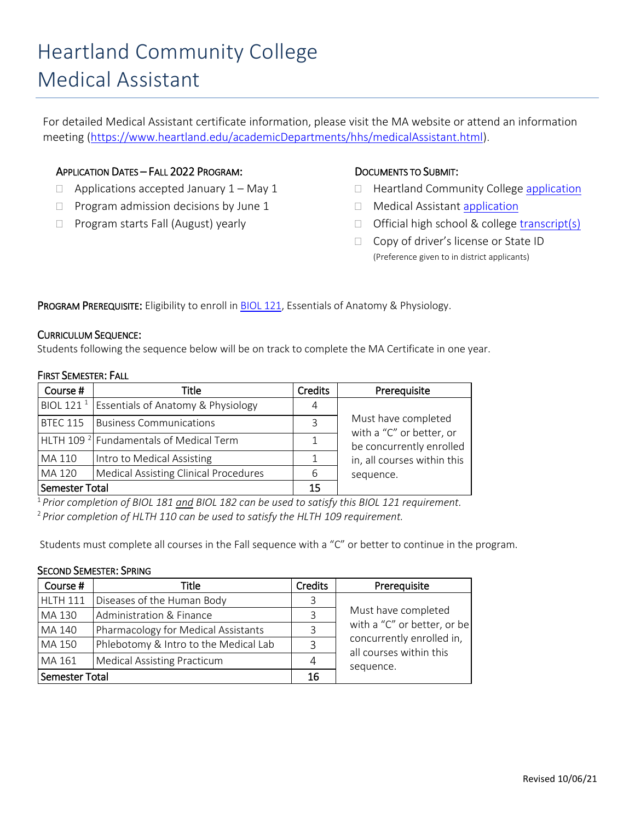# Heartland Community College Medical Assistant

For detailed Medical Assistant certificate information, please visit the MA website or attend an information meeting [\(https://www.heartland.edu/academicDepartments/hhs/medicalAssistant.html\)](https://www.heartland.edu/academicDepartments/hhs/medicalAssistant.html).

## APPLICATION DATES – FALL 2022 PROGRAM:

- $\Box$  Applications accepted January  $1 -$  May 1
- $\Box$  Program admission decisions by June 1
- $\Box$  Program starts Fall (August) yearly

## DOCUMENTS TO SUBMIT:

- $\Box$  Heartland Community College [application](https://www.heartland.edu/application/index.html)
- □ Medical Assistant [application](https://www.heartland.edu/academicDepartments/hhs/medicalAssistant.html)
- $\Box$  Official high school & college [transcript\(s\)](https://www.heartland.edu/records/submitTranscripts.html)
- □ Copy of driver's license or State ID (Preference given to in district applicants)

PROGRAM PREREQUISITE: Eligibility to enroll in **BIOL 121**, Essentials of Anatomy & Physiology.

### CURRICULUM SEQUENCE:

Students following the sequence below will be on track to complete the MA Certificate in one year.

#### FIRST SEMESTER: FALL

| Course #        | Title                                                    | <b>Credits</b> | Prerequisite                                    |  |  |
|-----------------|----------------------------------------------------------|----------------|-------------------------------------------------|--|--|
|                 | BIOL 121 <sup>1</sup> Essentials of Anatomy & Physiology | 4              |                                                 |  |  |
| <b>BTEC 115</b> | <b>Business Communications</b>                           |                | Must have completed<br>with a "C" or better, or |  |  |
|                 | HLTH 109 <sup>2</sup> Fundamentals of Medical Term       |                | be concurrently enrolled                        |  |  |
| MA 110          | Intro to Medical Assisting                               |                | in, all courses within this                     |  |  |
| MA 120          | <b>Medical Assisting Clinical Procedures</b>             | 6              | sequence.                                       |  |  |
| Semester Total  |                                                          | 15             |                                                 |  |  |

<sup>1</sup>*Prior completion of BIOL 181 and BIOL 182 can be used to satisfy this BIOL 121 requirement.* <sup>2</sup> *Prior completion of HLTH 110 can be used to satisfy the HLTH 109 requirement.*

Students must complete all courses in the Fall sequence with a "C" or better to continue in the program.

#### SECOND SEMESTER: SPRING

| Course #        | Title                                 | <b>Credits</b> | Prerequisite                                         |  |  |
|-----------------|---------------------------------------|----------------|------------------------------------------------------|--|--|
| <b>HLTH 111</b> | Diseases of the Human Body            | 3              |                                                      |  |  |
| MA 130          | Administration & Finance              | 3              | Must have completed                                  |  |  |
| MA 140          | Pharmacology for Medical Assistants   | 3              | with a "C" or better, or be                          |  |  |
| MA 150          | Phlebotomy & Intro to the Medical Lab | 3              | concurrently enrolled in,<br>all courses within this |  |  |
| MA 161          | <b>Medical Assisting Practicum</b>    | 4              | sequence.                                            |  |  |
| Semester Total  |                                       | 16             |                                                      |  |  |